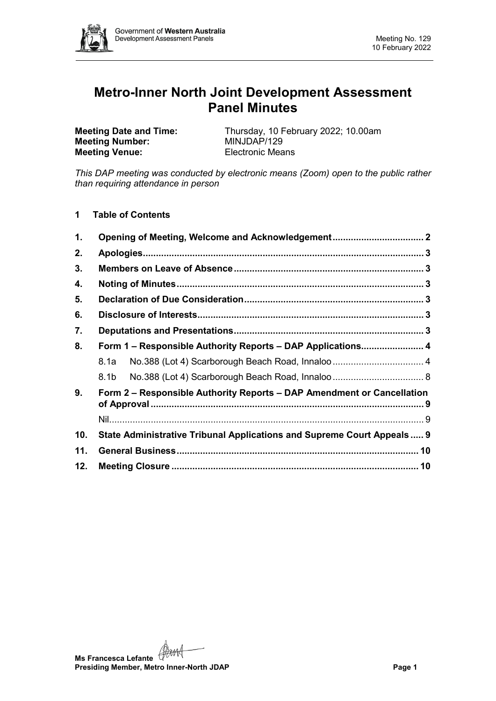

# **Metro-Inner North Joint Development Assessment Panel Minutes**

**Meeting Number: Meeting Venue:** Electronic Means

**Meeting Date and Time:** Thursday, 10 February 2022; 10.00am<br>**Meeting Number:** MINJDAP/129

*This DAP meeting was conducted by electronic means (Zoom) open to the public rather than requiring attendance in person*

**1 Table of Contents**

| 1.  |                                                                         |  |  |  |  |
|-----|-------------------------------------------------------------------------|--|--|--|--|
| 2.  |                                                                         |  |  |  |  |
| 3.  |                                                                         |  |  |  |  |
| 4.  |                                                                         |  |  |  |  |
| 5.  |                                                                         |  |  |  |  |
| 6.  |                                                                         |  |  |  |  |
| 7.  |                                                                         |  |  |  |  |
| 8.  | Form 1 – Responsible Authority Reports – DAP Applications 4             |  |  |  |  |
|     | 8.1a                                                                    |  |  |  |  |
|     | 8.1b                                                                    |  |  |  |  |
| 9.  | Form 2 – Responsible Authority Reports – DAP Amendment or Cancellation  |  |  |  |  |
|     |                                                                         |  |  |  |  |
| 10. | State Administrative Tribunal Applications and Supreme Court Appeals  9 |  |  |  |  |
| 11. |                                                                         |  |  |  |  |
| 12. |                                                                         |  |  |  |  |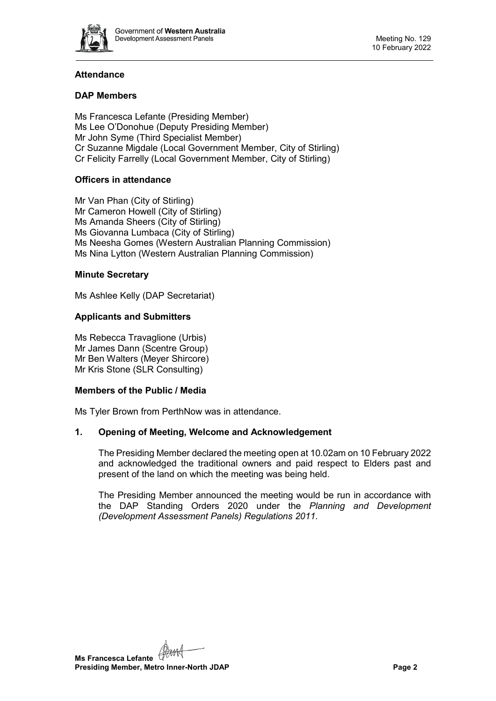

# **Attendance**

# **DAP Members**

Ms Francesca Lefante (Presiding Member) Ms Lee O'Donohue (Deputy Presiding Member) Mr John Syme (Third Specialist Member) Cr Suzanne Migdale (Local Government Member, City of Stirling) Cr Felicity Farrelly (Local Government Member, City of Stirling)

# **Officers in attendance**

Mr Van Phan (City of Stirling) Mr Cameron Howell (City of Stirling) Ms Amanda Sheers (City of Stirling) Ms Giovanna Lumbaca (City of Stirling) Ms Neesha Gomes (Western Australian Planning Commission) Ms Nina Lytton (Western Australian Planning Commission)

# **Minute Secretary**

Ms Ashlee Kelly (DAP Secretariat)

# **Applicants and Submitters**

Ms Rebecca Travaglione (Urbis) Mr James Dann (Scentre Group) Mr Ben Walters (Meyer Shircore) Mr Kris Stone (SLR Consulting)

# **Members of the Public / Media**

<span id="page-1-0"></span>Ms Tyler Brown from PerthNow was in attendance.

# **1. Opening of Meeting, Welcome and Acknowledgement**

The Presiding Member declared the meeting open at 10.02am on 10 February 2022 and acknowledged the traditional owners and paid respect to Elders past and present of the land on which the meeting was being held.

The Presiding Member announced the meeting would be run in accordance with the DAP Standing Orders 2020 under the *Planning and Development (Development Assessment Panels) Regulations 2011.*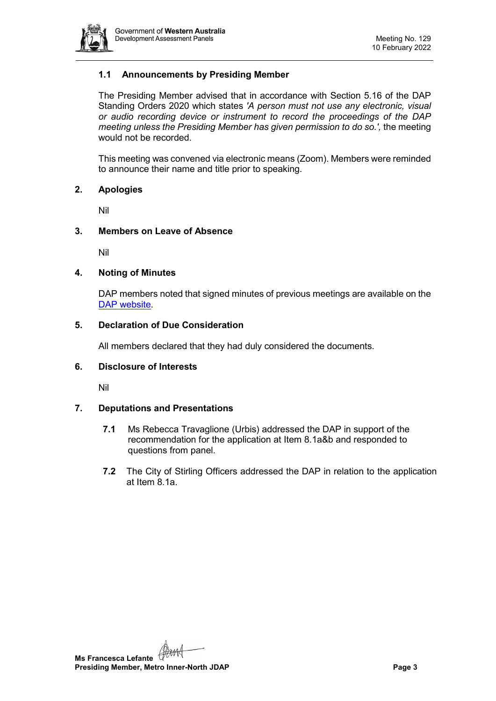

# **1.1 Announcements by Presiding Member**

The Presiding Member advised that in accordance with Section 5.16 of the DAP Standing Orders 2020 which states *'A person must not use any electronic, visual or audio recording device or instrument to record the proceedings of the DAP meeting unless the Presiding Member has given permission to do so.',* the meeting would not be recorded.

This meeting was convened via electronic means (Zoom). Members were reminded to announce their name and title prior to speaking.

#### <span id="page-2-0"></span>**2. Apologies**

Nil

### <span id="page-2-1"></span>**3. Members on Leave of Absence**

Nil

### <span id="page-2-2"></span>**4. Noting of Minutes**

DAP members noted that signed minutes of previous meetings are available on the [DAP website.](https://www.dplh.wa.gov.au/about/development-assessment-panels/daps-agendas-and-minutes)

### <span id="page-2-3"></span>**5. Declaration of Due Consideration**

All members declared that they had duly considered the documents.

# <span id="page-2-4"></span>**6. Disclosure of Interests**

Nil

# <span id="page-2-5"></span>**7. Deputations and Presentations**

- **7.1** Ms Rebecca Travaglione (Urbis) addressed the DAP in support of the recommendation for the application at Item 8.1a&b and responded to questions from panel.
- <span id="page-2-6"></span>**7.2** The City of Stirling Officers addressed the DAP in relation to the application at Item 8.1a.

**Ms Francesca Lefante Presiding Member, Metro Inner-North JDAP Page 3**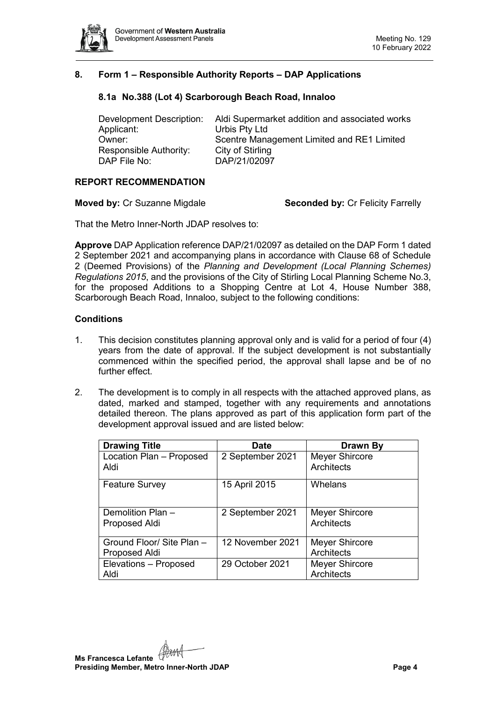

# <span id="page-3-0"></span>**8. Form 1 – Responsible Authority Reports – DAP Applications**

# **8.1a No.388 (Lot 4) Scarborough Beach Road, Innaloo**

Development Description: Aldi Supermarket addition and associated works Applicant: Urbis Pty Ltd Owner: Scentre Management Limited and RE1 Limited<br>Responsible Authority: City of Stirling Responsible Authority:<br>DAP File No: DAP/21/02097

# **REPORT RECOMMENDATION**

**Moved by:** Cr Suzanne Migdale **Seconded by:** Cr Felicity Farrelly

That the Metro Inner-North JDAP resolves to:

**Approve** DAP Application reference DAP/21/02097 as detailed on the DAP Form 1 dated 2 September 2021 and accompanying plans in accordance with Clause 68 of Schedule 2 (Deemed Provisions) of the *Planning and Development (Local Planning Schemes) Regulations 2015*, and the provisions of the City of Stirling Local Planning Scheme No.3, for the proposed Additions to a Shopping Centre at Lot 4, House Number 388, Scarborough Beach Road, Innaloo, subject to the following conditions:

### **Conditions**

- 1. This decision constitutes planning approval only and is valid for a period of four (4) years from the date of approval. If the subject development is not substantially commenced within the specified period, the approval shall lapse and be of no further effect.
- 2. The development is to comply in all respects with the attached approved plans, as dated, marked and stamped, together with any requirements and annotations detailed thereon. The plans approved as part of this application form part of the development approval issued and are listed below:

| <b>Drawing Title</b>               | <b>Date</b>      | Drawn By                            |
|------------------------------------|------------------|-------------------------------------|
| Location Plan - Proposed           | 2 September 2021 | <b>Meyer Shircore</b>               |
| Aldi                               |                  | Architects                          |
| <b>Feature Survey</b>              | 15 April 2015    | Whelans                             |
| Demolition Plan -<br>Proposed Aldi | 2 September 2021 | <b>Meyer Shircore</b><br>Architects |
| Ground Floor/ Site Plan -          | 12 November 2021 | <b>Meyer Shircore</b>               |
| Proposed Aldi                      |                  | Architects                          |
| Elevations - Proposed              | 29 October 2021  | <b>Meyer Shircore</b>               |
| Aldi                               |                  | Architects                          |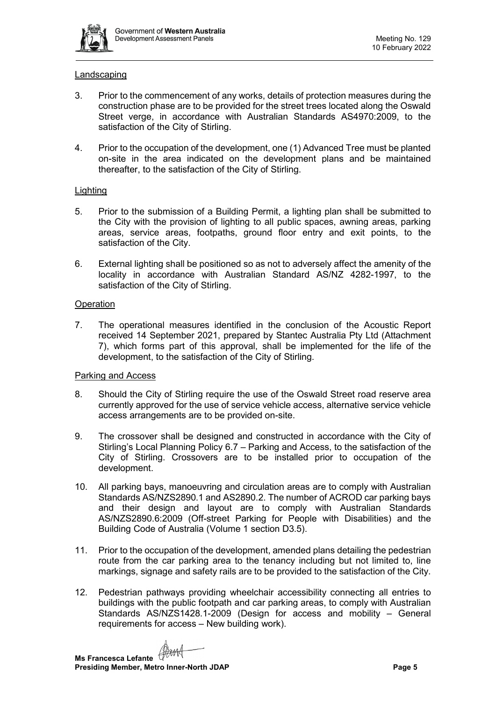

### Landscaping

- 3. Prior to the commencement of any works, details of protection measures during the construction phase are to be provided for the street trees located along the Oswald Street verge, in accordance with Australian Standards AS4970:2009, to the satisfaction of the City of Stirling.
- 4. Prior to the occupation of the development, one (1) Advanced Tree must be planted on-site in the area indicated on the development plans and be maintained thereafter, to the satisfaction of the City of Stirling.

### **Lighting**

- 5. Prior to the submission of a Building Permit, a lighting plan shall be submitted to the City with the provision of lighting to all public spaces, awning areas, parking areas, service areas, footpaths, ground floor entry and exit points, to the satisfaction of the City.
- 6. External lighting shall be positioned so as not to adversely affect the amenity of the locality in accordance with Australian Standard AS/NZ 4282-1997, to the satisfaction of the City of Stirling.

### **Operation**

7. The operational measures identified in the conclusion of the Acoustic Report received 14 September 2021, prepared by Stantec Australia Pty Ltd (Attachment 7), which forms part of this approval, shall be implemented for the life of the development, to the satisfaction of the City of Stirling.

# Parking and Access

- 8. Should the City of Stirling require the use of the Oswald Street road reserve area currently approved for the use of service vehicle access, alternative service vehicle access arrangements are to be provided on-site.
- 9. The crossover shall be designed and constructed in accordance with the City of Stirling's Local Planning Policy 6.7 – Parking and Access, to the satisfaction of the City of Stirling. Crossovers are to be installed prior to occupation of the development.
- 10. All parking bays, manoeuvring and circulation areas are to comply with Australian Standards AS/NZS2890.1 and AS2890.2. The number of ACROD car parking bays and their design and layout are to comply with Australian Standards AS/NZS2890.6:2009 (Off-street Parking for People with Disabilities) and the Building Code of Australia (Volume 1 section D3.5).
- 11. Prior to the occupation of the development, amended plans detailing the pedestrian route from the car parking area to the tenancy including but not limited to, line markings, signage and safety rails are to be provided to the satisfaction of the City.
- 12. Pedestrian pathways providing wheelchair accessibility connecting all entries to buildings with the public footpath and car parking areas, to comply with Australian Standards AS/NZS1428.1-2009 (Design for access and mobility – General requirements for access – New building work).

**Ms Francesca Lefante** (Ham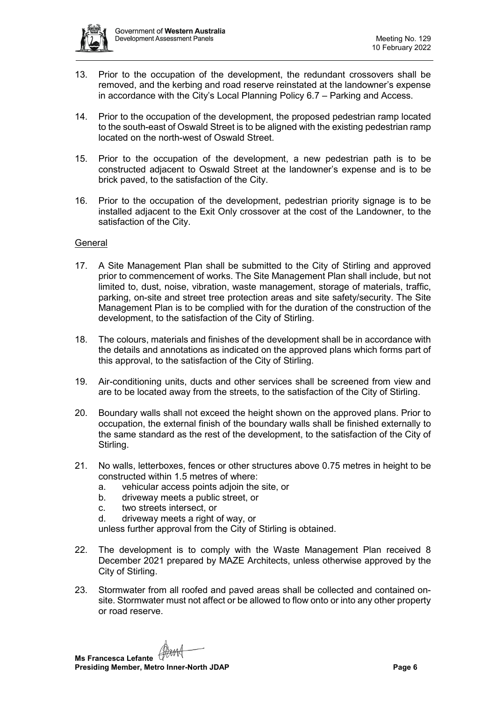

- 13. Prior to the occupation of the development, the redundant crossovers shall be removed, and the kerbing and road reserve reinstated at the landowner's expense in accordance with the City's Local Planning Policy 6.7 – Parking and Access.
- 14. Prior to the occupation of the development, the proposed pedestrian ramp located to the south-east of Oswald Street is to be aligned with the existing pedestrian ramp located on the north-west of Oswald Street.
- 15. Prior to the occupation of the development, a new pedestrian path is to be constructed adjacent to Oswald Street at the landowner's expense and is to be brick paved, to the satisfaction of the City.
- 16. Prior to the occupation of the development, pedestrian priority signage is to be installed adjacent to the Exit Only crossover at the cost of the Landowner, to the satisfaction of the City.

#### **General**

- 17. A Site Management Plan shall be submitted to the City of Stirling and approved prior to commencement of works. The Site Management Plan shall include, but not limited to, dust, noise, vibration, waste management, storage of materials, traffic, parking, on-site and street tree protection areas and site safety/security. The Site Management Plan is to be complied with for the duration of the construction of the development, to the satisfaction of the City of Stirling.
- 18. The colours, materials and finishes of the development shall be in accordance with the details and annotations as indicated on the approved plans which forms part of this approval, to the satisfaction of the City of Stirling.
- 19. Air-conditioning units, ducts and other services shall be screened from view and are to be located away from the streets, to the satisfaction of the City of Stirling.
- 20. Boundary walls shall not exceed the height shown on the approved plans. Prior to occupation, the external finish of the boundary walls shall be finished externally to the same standard as the rest of the development, to the satisfaction of the City of Stirling.
- 21. No walls, letterboxes, fences or other structures above 0.75 metres in height to be constructed within 1.5 metres of where:
	- a. vehicular access points adjoin the site, or
	- b. driveway meets a public street, or
	- c. two streets intersect, or
	- d. driveway meets a right of way, or

unless further approval from the City of Stirling is obtained.

- 22. The development is to comply with the Waste Management Plan received 8 December 2021 prepared by MAZE Architects, unless otherwise approved by the City of Stirling.
- 23. Stormwater from all roofed and paved areas shall be collected and contained onsite. Stormwater must not affect or be allowed to flow onto or into any other property or road reserve.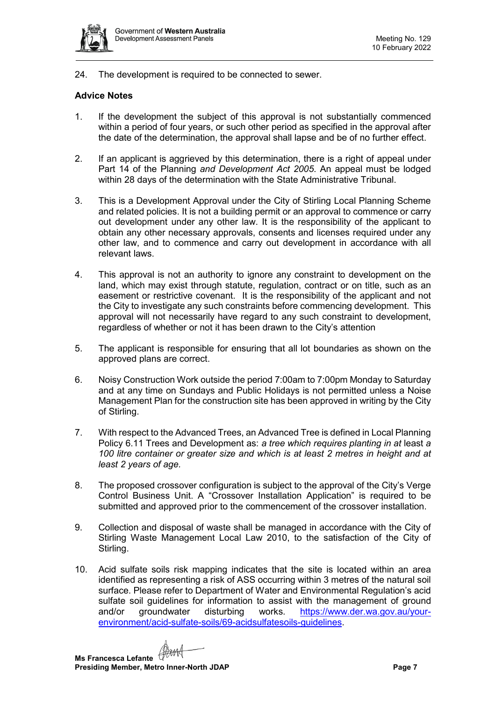

24. The development is required to be connected to sewer.

# **Advice Notes**

- 1. If the development the subject of this approval is not substantially commenced within a period of four years, or such other period as specified in the approval after the date of the determination, the approval shall lapse and be of no further effect.
- 2. If an applicant is aggrieved by this determination, there is a right of appeal under Part 14 of the Planning *and Development Act 2005*. An appeal must be lodged within 28 days of the determination with the State Administrative Tribunal.
- 3. This is a Development Approval under the City of Stirling Local Planning Scheme and related policies. It is not a building permit or an approval to commence or carry out development under any other law. It is the responsibility of the applicant to obtain any other necessary approvals, consents and licenses required under any other law, and to commence and carry out development in accordance with all relevant laws.
- 4. This approval is not an authority to ignore any constraint to development on the land, which may exist through statute, regulation, contract or on title, such as an easement or restrictive covenant. It is the responsibility of the applicant and not the City to investigate any such constraints before commencing development. This approval will not necessarily have regard to any such constraint to development, regardless of whether or not it has been drawn to the City's attention
- 5. The applicant is responsible for ensuring that all lot boundaries as shown on the approved plans are correct.
- 6. Noisy Construction Work outside the period 7:00am to 7:00pm Monday to Saturday and at any time on Sundays and Public Holidays is not permitted unless a Noise Management Plan for the construction site has been approved in writing by the City of Stirling.
- 7. With respect to the Advanced Trees, an Advanced Tree is defined in Local Planning Policy 6.11 Trees and Development as: *a tree which requires planting in at* least *a 100 litre container or greater size and which is at least 2 metres in height and at least 2 years of age.*
- 8. The proposed crossover configuration is subject to the approval of the City's Verge Control Business Unit. A "Crossover Installation Application" is required to be submitted and approved prior to the commencement of the crossover installation.
- 9. Collection and disposal of waste shall be managed in accordance with the City of Stirling Waste Management Local Law 2010, to the satisfaction of the City of Stirling.
- 10. Acid sulfate soils risk mapping indicates that the site is located within an area identified as representing a risk of ASS occurring within 3 metres of the natural soil surface. Please refer to Department of Water and Environmental Regulation's acid sulfate soil guidelines for information to assist with the management of ground and/or groundwater disturbing works. [https://www.der.wa.gov.au/your](https://www.der.wa.gov.au/your-environment/acid-sulfate-soils/69-acidsulfatesoils-guidelines)[environment/acid-sulfate-soils/69-acidsulfatesoils-guidelines.](https://www.der.wa.gov.au/your-environment/acid-sulfate-soils/69-acidsulfatesoils-guidelines)

**Ms Francesca Lefante** (Ham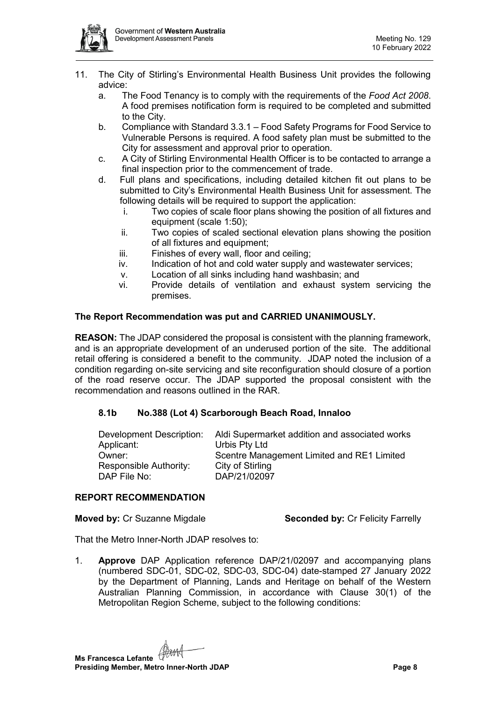

- 11. The City of Stirling's Environmental Health Business Unit provides the following advice:
	- a. The Food Tenancy is to comply with the requirements of the *Food Act 2008*. A food premises notification form is required to be completed and submitted to the City.
	- b. Compliance with Standard 3.3.1 Food Safety Programs for Food Service to Vulnerable Persons is required. A food safety plan must be submitted to the City for assessment and approval prior to operation.
	- c. A City of Stirling Environmental Health Officer is to be contacted to arrange a final inspection prior to the commencement of trade.
	- d. Full plans and specifications, including detailed kitchen fit out plans to be submitted to City's Environmental Health Business Unit for assessment. The following details will be required to support the application:
		- i. Two copies of scale floor plans showing the position of all fixtures and equipment (scale 1:50);
		- ii. Two copies of scaled sectional elevation plans showing the position of all fixtures and equipment;
		- iii. Finishes of every wall, floor and ceiling;
		- iv. Indication of hot and cold water supply and wastewater services;
		- v. Location of all sinks including hand washbasin; and
		- vi. Provide details of ventilation and exhaust system servicing the premises.

# **The Report Recommendation was put and CARRIED UNANIMOUSLY.**

**REASON:** The JDAP considered the proposal is consistent with the planning framework, and is an appropriate development of an underused portion of the site. The additional retail offering is considered a benefit to the community. JDAP noted the inclusion of a condition regarding on-site servicing and site reconfiguration should closure of a portion of the road reserve occur. The JDAP supported the proposal consistent with the recommendation and reasons outlined in the RAR.

# <span id="page-7-0"></span>**8.1b No.388 (Lot 4) Scarborough Beach Road, Innaloo**

| Development Description: | Aldi Supermarket addition and associated works |
|--------------------------|------------------------------------------------|
| Applicant:               | Urbis Pty Ltd                                  |
| Owner:                   | Scentre Management Limited and RE1 Limited     |
| Responsible Authority:   | City of Stirling                               |
| DAP File No:             | DAP/21/02097                                   |
|                          |                                                |

#### **REPORT RECOMMENDATION**

**Moved by:** Cr Suzanne Migdale **Seconded by:** Cr Felicity Farrelly

That the Metro Inner-North JDAP resolves to:

1. **Approve** DAP Application reference DAP/21/02097 and accompanying plans (numbered SDC-01, SDC-02, SDC-03, SDC-04) date-stamped 27 January 2022 by the Department of Planning, Lands and Heritage on behalf of the Western Australian Planning Commission, in accordance with Clause 30(1) of the Metropolitan Region Scheme, subject to the following conditions:

**Ms Francesca Lefante Presiding Member, Metro Inner-North JDAP Page 8**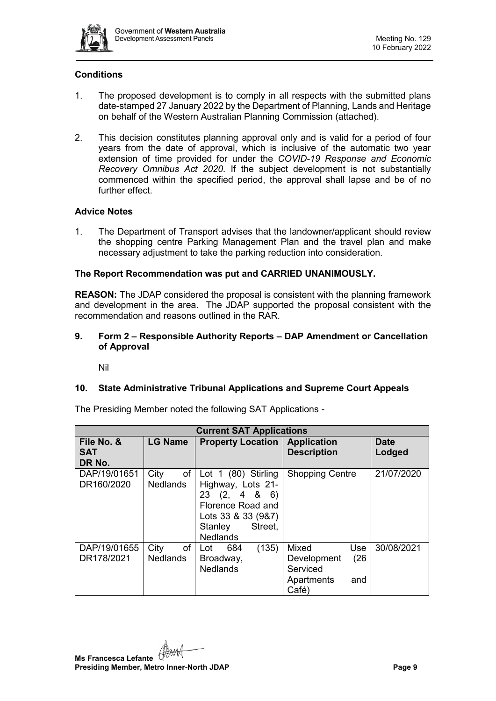

# **Conditions**

- 1. The proposed development is to comply in all respects with the submitted plans date-stamped 27 January 2022 by the Department of Planning, Lands and Heritage on behalf of the Western Australian Planning Commission (attached).
- 2. This decision constitutes planning approval only and is valid for a period of four years from the date of approval, which is inclusive of the automatic two year extension of time provided for under the *COVID-19 Response and Economic Recovery Omnibus Act 2020*. If the subject development is not substantially commenced within the specified period, the approval shall lapse and be of no further effect.

# **Advice Notes**

1. The Department of Transport advises that the landowner/applicant should review the shopping centre Parking Management Plan and the travel plan and make necessary adjustment to take the parking reduction into consideration.

# **The Report Recommendation was put and CARRIED UNANIMOUSLY.**

**REASON:** The JDAP considered the proposal is consistent with the planning framework and development in the area. The JDAP supported the proposal consistent with the recommendation and reasons outlined in the RAR.

# <span id="page-8-0"></span>**9. Form 2 – Responsible Authority Reports – DAP Amendment or Cancellation of Approval**

Nil

# <span id="page-8-2"></span><span id="page-8-1"></span>**10. State Administrative Tribunal Applications and Supreme Court Appeals**

| <b>Current SAT Applications</b>    |                               |                                                                                                                                                     |                                                                               |                       |  |
|------------------------------------|-------------------------------|-----------------------------------------------------------------------------------------------------------------------------------------------------|-------------------------------------------------------------------------------|-----------------------|--|
| File No. &<br><b>SAT</b><br>DR No. | <b>LG Name</b>                | <b>Property Location</b>                                                                                                                            | <b>Application</b><br><b>Description</b>                                      | <b>Date</b><br>Lodged |  |
| DAP/19/01651<br>DR160/2020         | of<br>City<br><b>Nedlands</b> | Lot 1 (80) Stirling<br>Highway, Lots 21-<br>$(2, 4 \& 6)$<br>23<br>Florence Road and<br>Lots 33 & 33 (9&7)<br>Street,<br>Stanley<br><b>Nedlands</b> | <b>Shopping Centre</b>                                                        | 21/07/2020            |  |
| DAP/19/01655<br>DR178/2021         | City<br>of<br><b>Nedlands</b> | (135)<br>684<br>Lot<br>Broadway,<br><b>Nedlands</b>                                                                                                 | Mixed<br>Use<br>(26)<br>Development<br>Serviced<br>Apartments<br>and<br>Café) | 30/08/2021            |  |

The Presiding Member noted the following SAT Applications -

**Ms Francesca Lefante Presiding Member, Metro Inner-North JDAP Page 9**